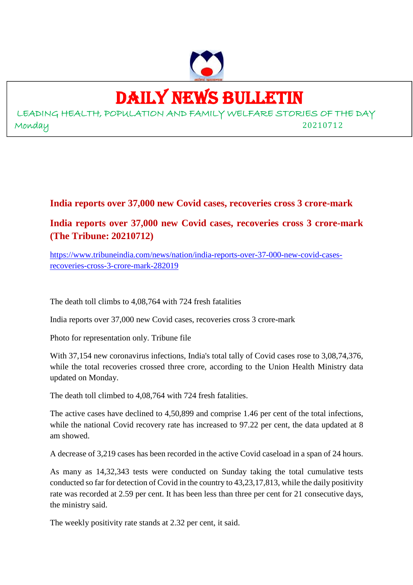

## DAILY NEWS BULLETIN

LEADING HEALTH, POPULATION AND FAMILY WELFARE STORIES OF THE DAY Monday 20210712

## **India reports over 37,000 new Covid cases, recoveries cross 3 crore-mark**

## **India reports over 37,000 new Covid cases, recoveries cross 3 crore-mark (The Tribune: 20210712)**

https://www.tribuneindia.com/news/nation/india-reports-over-37-000-new-covid-casesrecoveries-cross-3-crore-mark-282019

The death toll climbs to 4,08,764 with 724 fresh fatalities

India reports over 37,000 new Covid cases, recoveries cross 3 crore-mark

Photo for representation only. Tribune file

With 37,154 new coronavirus infections, India's total tally of Covid cases rose to 3,08,74,376, while the total recoveries crossed three crore, according to the Union Health Ministry data updated on Monday.

The death toll climbed to 4,08,764 with 724 fresh fatalities.

The active cases have declined to 4,50,899 and comprise 1.46 per cent of the total infections, while the national Covid recovery rate has increased to 97.22 per cent, the data updated at 8 am showed.

A decrease of 3,219 cases has been recorded in the active Covid caseload in a span of 24 hours.

As many as 14,32,343 tests were conducted on Sunday taking the total cumulative tests conducted so far for detection of Covid in the country to 43,23,17,813, while the daily positivity rate was recorded at 2.59 per cent. It has been less than three per cent for 21 consecutive days, the ministry said.

The weekly positivity rate stands at 2.32 per cent, it said.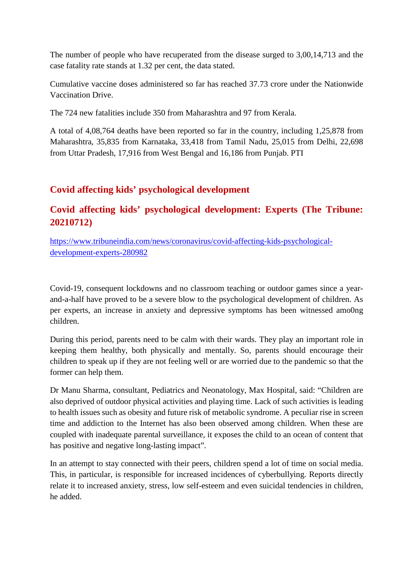The number of people who have recuperated from the disease surged to 3,00,14,713 and the case fatality rate stands at 1.32 per cent, the data stated.

Cumulative vaccine doses administered so far has reached 37.73 crore under the Nationwide Vaccination Drive.

The 724 new fatalities include 350 from Maharashtra and 97 from Kerala.

A total of 4,08,764 deaths have been reported so far in the country, including 1,25,878 from Maharashtra, 35,835 from Karnataka, 33,418 from Tamil Nadu, 25,015 from Delhi, 22,698 from Uttar Pradesh, 17,916 from West Bengal and 16,186 from Punjab. PTI

## **Covid affecting kids' psychological development**

## **Covid affecting kids' psychological development: Experts (The Tribune: 20210712)**

https://www.tribuneindia.com/news/coronavirus/covid-affecting-kids-psychologicaldevelopment-experts-280982

Covid-19, consequent lockdowns and no classroom teaching or outdoor games since a yearand-a-half have proved to be a severe blow to the psychological development of children. As per experts, an increase in anxiety and depressive symptoms has been witnessed amo0ng children.

During this period, parents need to be calm with their wards. They play an important role in keeping them healthy, both physically and mentally. So, parents should encourage their children to speak up if they are not feeling well or are worried due to the pandemic so that the former can help them.

Dr Manu Sharma, consultant, Pediatrics and Neonatology, Max Hospital, said: "Children are also deprived of outdoor physical activities and playing time. Lack of such activities is leading to health issues such as obesity and future risk of metabolic syndrome. A peculiar rise in screen time and addiction to the Internet has also been observed among children. When these are coupled with inadequate parental surveillance, it exposes the child to an ocean of content that has positive and negative long-lasting impact".

In an attempt to stay connected with their peers, children spend a lot of time on social media. This, in particular, is responsible for increased incidences of cyberbullying. Reports directly relate it to increased anxiety, stress, low self-esteem and even suicidal tendencies in children, he added.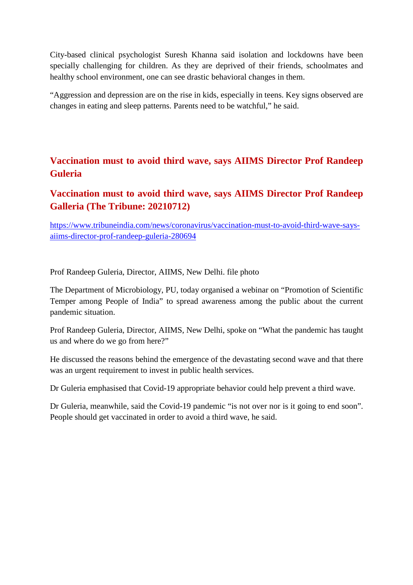City-based clinical psychologist Suresh Khanna said isolation and lockdowns have been specially challenging for children. As they are deprived of their friends, schoolmates and healthy school environment, one can see drastic behavioral changes in them.

"Aggression and depression are on the rise in kids, especially in teens. Key signs observed are changes in eating and sleep patterns. Parents need to be watchful," he said.

## **Vaccination must to avoid third wave, says AIIMS Director Prof Randeep Guleria**

## **Vaccination must to avoid third wave, says AIIMS Director Prof Randeep Galleria (The Tribune: 20210712)**

https://www.tribuneindia.com/news/coronavirus/vaccination-must-to-avoid-third-wave-saysaiims-director-prof-randeep-guleria-280694

Prof Randeep Guleria, Director, AIIMS, New Delhi. file photo

The Department of Microbiology, PU, today organised a webinar on "Promotion of Scientific Temper among People of India" to spread awareness among the public about the current pandemic situation.

Prof Randeep Guleria, Director, AIIMS, New Delhi, spoke on "What the pandemic has taught us and where do we go from here?"

He discussed the reasons behind the emergence of the devastating second wave and that there was an urgent requirement to invest in public health services.

Dr Guleria emphasised that Covid-19 appropriate behavior could help prevent a third wave.

Dr Guleria, meanwhile, said the Covid-19 pandemic "is not over nor is it going to end soon". People should get vaccinated in order to avoid a third wave, he said.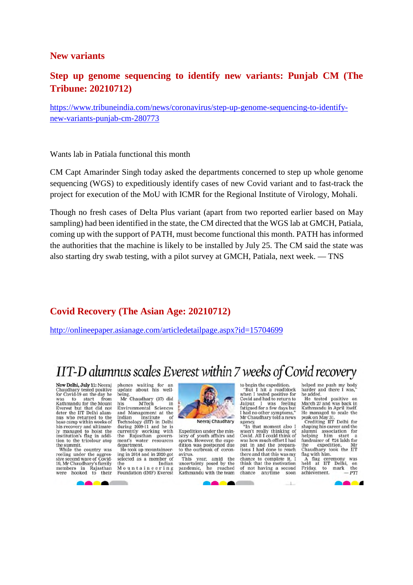## **New variants**

## **Step up genome sequencing to identify new variants: Punjab CM (The Tribune: 20210712)**

https://www.tribuneindia.com/news/coronavirus/step-up-genome-sequencing-to-identifynew-variants-punjab-cm-280773

Wants lab in Patiala functional this month

CM Capt Amarinder Singh today asked the departments concerned to step up whole genome sequencing (WGS) to expeditiously identify cases of new Covid variant and to fast-track the project for execution of the MoU with ICMR for the Regional Institute of Virology, Mohali.

Though no fresh cases of Delta Plus variant (apart from two reported earlier based on May sampling) had been identified in the state, the CM directed that the WGS lab at GMCH, Patiala, coming up with the support of PATH, must become functional this month. PATH has informed the authorities that the machine is likely to be installed by July 25. The CM said the state was also starting dry swab testing, with a pilot survey at GMCH, Patiala, next week. — TNS

## **Covid Recovery (The Asian Age: 20210712)**

http://onlineepaper.asianage.com/articledetailpage.aspx?id=15704699

## IIT-D alumnus scales Everest within 7 weeks of Covid recovery

New Delhi, July 11: Neeraj<br>Chaudhary tested positive<br>for Covid-19 on the day he was to start from<br>Kathmandu for the Mount Everest but that did not<br>deter the IIT Delhi alum-<br>nus who returned to the base camp within weeks of base camp which weeks of<br>his recovery and ultimate-<br>ly managed to hoist the<br>institution's flag in addition to the tricolour atop<br>the summit.

While the country was<br>reeling under the aggressive second wave of Covid-19, Mr Chaudhary's family<br>members in Rajasthan<br>were hooked to their phones waiting for an<br>update about his well-

being.<br>
Mr Chaudhary (37) did<br>
his MTech<br>
Environmental Sciences<br>
and Management at the and Management at the<br>Indian Institute of<br>Technology (IIT) in Delhi during 2009-11 and he is<br>currently working with the Rajasthan government's water resources

He took up mountaineer-<br>ing in 2014 and in 2020 got<br>selected as a member of Indian the Indian<br>Mountaineering Foundation (IMF) Everest



Neeraj Chaudhary

Expedition under the ministry of youth affairs and<br>sports. However, the expe-<br>dition was postponed due to the outbreak of coronavirus.

year, amid the This uncertainty posed by the<br>pandemic, he reached pandemic, he reached<br>Kathmandu with the team to begin the expedition. "But I hit a roadblock<br>when I tested positive for Covid and had to return to Covid and had to return to<br>Jaipur. I was feeling<br>fatigued for a few days but I had no other symptoms. Mr Chaudhary told a news

agency.<br>"In that moment also I<br>wasn't really thinking of<br>Covid. All I could think of was how much effort I had<br>put in and the prepara-<br>tions I had done to reach there and that this was my chance to complete it. I think that the motivation of not having a second chance anytime soon

helped me push my body<br>harder and there I was,"<br>he added.

ne added.<br>He tested positive on<br>March 27 and was back in<br>Kathmandu in April itself.

Naturation in April 1881.<br>He managed to scale the<br>peak on May 31.<br>Crediting IIT Delhi for<br>shaping his career and the<br>alumni association for<br>helping him start a neuping mini-start at<br>fundraiser of 324 lakh for<br>the expedition, Mr<br>Chaudhary took the IIT<br>flag with him.

A flag ceremony<br>held at IIT Delhi, was  $_{\rm the}^{\rm on}$ mark Friday, to achievement. **PTI**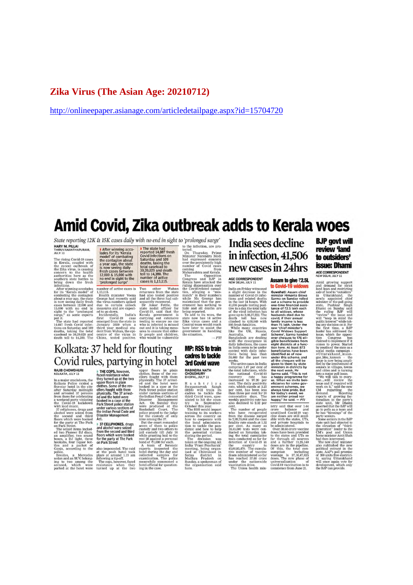## **Zika Virus (The Asian Age: 20210712)**

http://onlineepaper.asianage.com/articledetailpage.aspx?id=15704720

## Amid Covid, Zika outbreak adds to Kerala woes

State reporting 12K & 15K cases daily with no end in sight to 'prolonged surge' HARY M. PILLAI<br>THIRUVANANTHAPURAM.<br>JULY 11

After winning acco-<br>lades for its 'Kerala<br>model' of combating<br>the contagion about<br>a year ago, the state<br>for some signalizing<br>fresh cases between<br>12,000 & 15,000 with<br>"prolonged surge"

**The state had reported 14,087 fresh**<br>covid infections on<br>Saturday and 109<br>deaths, taking the total caselead to<br> $30,39,029$  and death<br>toll to 14,380. The<br>toll to 14,380. The<br>tomber of active

THIRNOVARANTHAPUNAM,<br>
THIRNOVARANTHAPUNAM, THIRNOVARIA THIRNOVARANTHAPUNAM, THIRS COVID TO COVID IT and the Control of control of control of the model of the daths, taking the model of the state of the state of the state

 $\alpha$  'prolonged surge' to the infection, are proposed surge' to the infection, are proposed concerned to the Minister Narradian surface in the persistent and expressed concern<br>in the persistently in the concerned concerne

 $-PTI$ **MP: RSS to train** cadres to tackle

weekly positivity rate has<br>also declined to 2.32 per ent.<br>The number of people who have recuperated from the disease surged from the disease surged<br>from the disease surged from the case of all  $\mu$  rate stands at<br>1.32 and

## India sees decline in infection, 41,506 new cases in 24hrs AGE CORRESPONDENT<br>NEW DELHI, JULY 11

### Assam to give ₹2.5L

AGE CORRESPONDENT<br>
NESSAIN DI GIVE 72.5L<br>
NEW DELHI, ILUV 111<br>
IN COMIC-19 WIDOWS<br>
In this on Friday witnessed<br>
in the Gauvaleth deaths Sarma consultations and related deaths. Same consultations in<br>
this and related death

hospy," he stad...  $- P \dot{f}$ <br>there is noted...  $- P \dot{f}$ <br>there is a stad that over 1.14<br>crowe balance and<br>crowe balance and<br>clime doses are still avail-<br>and private hospitals to<br>be with the states. UTs,<br> $Q \propto \frac{1}{2}$  and

## **BJP** govt will review 'land to outsiders' issue: Dhami AGE CORRESPONDENT

Amid growing support and demand for strictly support and demand for strictly supported land to cutations of the method of the method of the strictly supported valid and the ruling BJP will investigate the strictly will al

## Kolkata: 37 held for flouting Covid rules, partying in hotel

**COVIDENTIFYING**<br> **EXECUTE:**<br>
RAIFE COPS, however, upper floors in plain<br>
RAIFE CHOMORURE THE COPS, however, upper floors in plain<br>
INCREMENTA, ULV 11<br>
In a major creductory, the the pure of the reverse in plain<br>
In a maj

3rd Covid wave **RABINDRA NATH<br>CHOUDHURY<br>BHOPAL, JULY 11** 

# ${\bf BHOPAL, IULY 11}$  R a s s h t r i y a<br>Swayarmsevak Sangh (RSS) will train its small conders to tackle the<br>distribution of the model of the model of the third conders to tackle the<br>trivial of the system of the system of the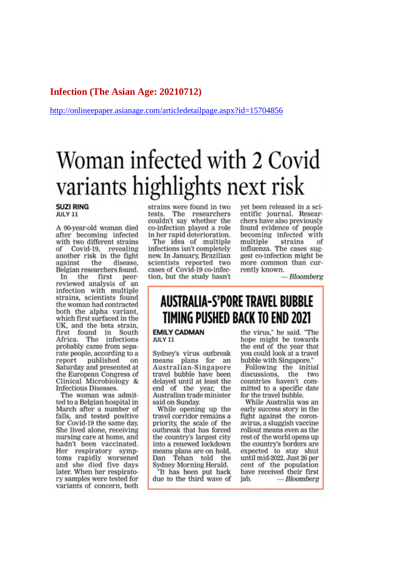## Infection (The Asian Age: 20210712)

http://onlineepaper.asianage.com/articledetailpage.aspx?id=15704856

# Woman infected with 2 Covid variants highlights next risk

#### **SUZI RING** JULY 11

A 90-year-old woman died after becoming infected with two different strains of Covid-19, revealing another risk in the fight against the disease. Belgian researchers found.

In the first peer-<br>reviewed analysis of an infection with multiple strains, scientists found the woman had contracted both the alpha variant. which first surfaced in the UK, and the beta strain, first found in South<br>Africa. The infections<br>probably came from separate people, according to a report published on Saturday and presented at the European Congress of Clinical Microbiology & **Infectious Diseases.** 

The woman was admitted to a Belgian hospital in March after a number of falls, and tested positive for Covid-19 the same day. She lived alone, receiving nursing care at home, and hadn't been vaccinated. Her respiratory symptoms rapidly worsened and she died five days later. When her respiratory samples were tested for variants of concern, both strains were found in two tests. The researchers<br>couldn't say whether the co-infection played a role in her rapid deterioration.

The idea of multiple infections isn't completely new. In January, Brazilian scientists reported two cases of Covid-19 co-infection, but the study hasn't yet been released in a scientific journal. Researchers have also previously found evidence of people becoming infected with multiple strains  $\alpha$ f influenza. The cases suggest co-infection might be more common than currently known.

**Bloomberg** 

## **AUSTRALIA-S'PORE TRAVEL BUBBLE** TIMING PUSHED BACK TO END 2021

**EMILY CADMAN** JULY 11

Sydney's virus outbreak means plans for an Australian-Singapore travel bubble have been delayed until at least the end of the year, the Australian trade minister said on Sunday.

While opening up the travel corridor remains a priority, the scale of the outbreak that has forced the country's largest city into a renewed lockdown means plans are on hold. Dan Tehan told the Sydney Morning Herald.

'It has been put back due to the third wave of the virus," he said. "The hope might be towards the end of the year that you could look at a travel bubble with Singapore."

Following the initial discussions, the two countries haven't committed to a specific date for the travel bubble.

While Australia was an early success story in the fight against the coronavirus, a sluggish vaccine rollout means even as the rest of the world opens up the country's borders are expected to stay shut until mid-2022. Just 26 per cent of the population have received their first iab. — Bloomberg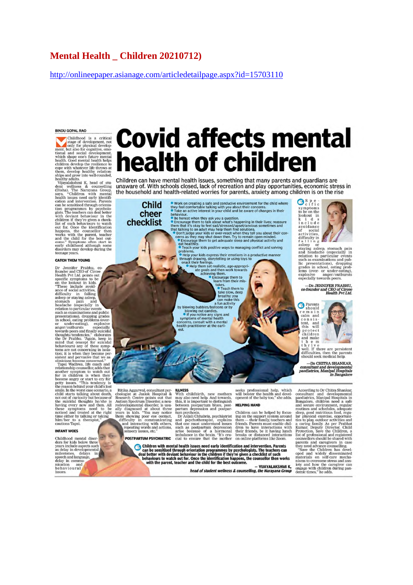## **Mental Health Children 20210712)**

http://onlineepaper.asianage.com/articledetailpage.aspx?id=15703110

**BINDU GOPAL RAO** 

 $\begin{tabular}{|c|c|} \hline \textbf{BINDU GOPAL RAO} & \textbf{BIO} & \textbf{0} & \textbf{0} & \textbf{0} & \textbf{0} & \textbf{0} & \textbf{0} & \textbf{0} & \textbf{0} & \textbf{0} & \textbf{0} & \textbf{0} & \textbf{0} & \textbf{0} & \textbf{0} & \textbf{0} & \textbf{0} & \textbf{0} & \textbf{0} & \textbf{0} & \textbf{0} & \textbf{0} & \textbf{0} & \textbf{0} & \textbf{0} & \textbf{0} & \textbf{0} & \$ 

#### **CATCH THEM YOUNG**

Content and CEO Content Practice Content<br>From Content CEO Content Center Specific experience specific experiments to<br>the lookout in kids.<br>These include avoid-<br>ance of social activities, difficulty in alling difficulty<br>asse

somator paint and the constant pair and a headache (especially in realidator to particular event and public presentations), dropping grades in school, eating problems (were anger/outbursts assessed) towards peers and fina modeu and treated at the right<br>time either by talking or taking<br>him/her to a therapist,"<br>cautions Tapsi.

医

#### **INFANT WOES**

Childhood mental disorcers for kids below three<br>ders for kids below three<br>as include aspects such measuremental<br>milestones, delays in<br>speech and language.<br>delay in communication<br>metal and measuremental behaviour and<br>issues  $\blacksquare$ 

# **Covid affects mental** health of children

Children can have mental health issues, something that many parents and quardians are unaware of. With schools closed, lack of recreation and play opportunities, economic stress in the household and health-related worries for parents, anxiety among children is on the rise

exactive the control of the control and the most of the control of the set of the set of the and active interest in your child and their concerns.<br>
Take a mactive interest in your child and the wave of changes in their the **Child** cheer checklist

L II van

 $\begin{tabular}{p{0.85\textwidth}} \hline \textbf{Ritika Aggarval, consulant } \textbf{psy:} \hline \textbf{chologist at Jaslok Hospital & \textbf{R} \hline \textbf{Reserch Center points out that} \hline \textbf{Rutism Spectrum Disorder, a neurodevelopmental disorder, is usually diagnosed at about three years in kids. "You may notice them showing poor eye contact, and interacting with others, representing work and interesting errors.} \hline \end{tabular}$ 

POSTPARTUM PSYCHIATRIC

#### **HELPING HAND**

Children can be helped by focus change on the support system around<br>them — their family, teachers and<br>friends. Parents must enable chil-Francisco have interactions with<br>their friends, be it having lunch<br>breaks or distanced interactions<br>on online platforms like Zoom.

Children with mental health issues need early identification and intervention. Parents<br>can be sensitised through orientation programmes by psychologists. The teachers can<br>behaviours to watch out for. Once the identificatio

such as postpartum depression<br>arise because of a hormonal<br>imbalance in the brain. "It's cru-<br>cial to ensure that the mother

**VIJAYALAKSHMI K.** head of student wellness & counselling, the Narayana Group

seeks professional help, which<br>will bolster the health and devel-<br>opment of the baby too," she adds.

According to Dr Chitra Shankar, consultant and developmental paediatrics, Manipal Hospitals in Bangalore, children need a safe and secure cultures and secure invisions. acquaint pair allows and secure in the safe and secu

c 111 c<br>symptoms<br>to be on the<br>lookout in<br>k i d s<br>include incitude<br>accidentes<br>activities,<br>activities,<br>activities,<br>activities,<br>failing<br>staying asleep, stomach pain<br>relation to narticular avents<br>relation to narticular avents

 $\mathbf{G}^{\text{S}}_{\text{cific}}$ 

staying asleep, stomach pain<br>and headache (especially in<br>relation to particular events<br>such as examinations and pub-<br>lic presentations), dropping<br>grades in school, eating prob-<br>lems (over- or under-eating),<br>explosive anger

-DR JENNIFER PRABHU,<br>co-founder and CEO of Circee<br>Health Pvt Ltd.



children<br>
and make<br>
t h e m<br>
t h i r i ve<br>
well. If there are persistent<br>
difficulties, then the parents<br>
should seek medical help.

**DR CHITRA SHANKAR** consultant and developmental<br>paediatrics, Manipal Hospitals<br>in Bangalore

**ILINESS**<br>With childbirth, new mothers<br>may also need help. And towards,<br>this, it is important to distinguish<br>between postpartum blues, post-<br>partum depression and postpar<br>tum psychosis.<br>The Anjali Chhabria, psychiatrist<br>an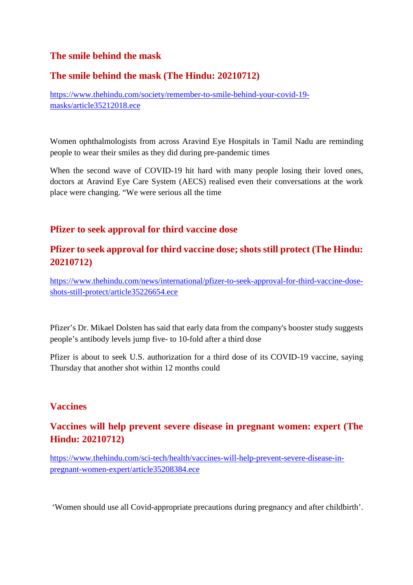## **The smile behind the mask**

## **The smile behind the mask (The Hindu: 20210712)**

https://www.thehindu.com/society/remember-to-smile-behind-your-covid-19 masks/article35212018.ece

Women ophthalmologists from across Aravind Eye Hospitals in Tamil Nadu are reminding people to wear their smiles as they did during pre-pandemic times

When the second wave of COVID-19 hit hard with many people losing their loved ones, doctors at Aravind Eye Care System (AECS) realised even their conversations at the work place were changing. "We were serious all the time

## **Pfizer to seek approval for third vaccine dose**

## **Pfizer to seek approval for third vaccine dose; shots still protect (The Hindu: 20210712)**

https://www.thehindu.com/news/international/pfizer-to-seek-approval-for-third-vaccine-doseshots-still-protect/article35226654.ece

Pfizer's Dr. Mikael Dolsten has said that early data from the company's booster study suggests people's antibody levels jump five- to 10-fold after a third dose

Pfizer is about to seek U.S. authorization for a third dose of its COVID-19 vaccine, saying Thursday that another shot within 12 months could

## **Vaccines**

## **Vaccines will help prevent severe disease in pregnant women: expert (The Hindu: 20210712)**

https://www.thehindu.com/sci-tech/health/vaccines-will-help-prevent-severe-disease-inpregnant-women-expert/article35208384.ece

'Women should use all Covid-appropriate precautions during pregnancy and after childbirth'.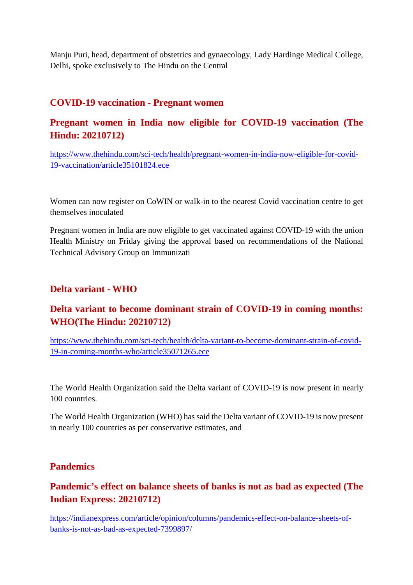Manju Puri, head, department of obstetrics and gynaecology, Lady Hardinge Medical College, Delhi, spoke exclusively to The Hindu on the Central

## **COVID-19 vaccination - Pregnant women**

## **Pregnant women in India now eligible for COVID-19 vaccination (The Hindu: 20210712)**

https://www.thehindu.com/sci-tech/health/pregnant-women-in-india-now-eligible-for-covid-19-vaccination/article35101824.ece

Women can now register on CoWIN or walk-in to the nearest Covid vaccination centre to get themselves inoculated

Pregnant women in India are now eligible to get vaccinated against COVID-19 with the union Health Ministry on Friday giving the approval based on recommendations of the National Technical Advisory Group on Immunizati

## **Delta variant - WHO**

## **Delta variant to become dominant strain of COVID-19 in coming months: WHO(The Hindu: 20210712)**

https://www.thehindu.com/sci-tech/health/delta-variant-to-become-dominant-strain-of-covid-19-in-coming-months-who/article35071265.ece

The World Health Organization said the Delta variant of COVID-19 is now present in nearly 100 countries.

The World Health Organization (WHO) has said the Delta variant of COVID-19 is now present in nearly 100 countries as per conservative estimates, and

## **Pandemics**

## **Pandemic's effect on balance sheets of banks is not as bad as expected (The Indian Express: 20210712)**

https://indianexpress.com/article/opinion/columns/pandemics-effect-on-balance-sheets-ofbanks-is-not-as-bad-as-expected-7399897/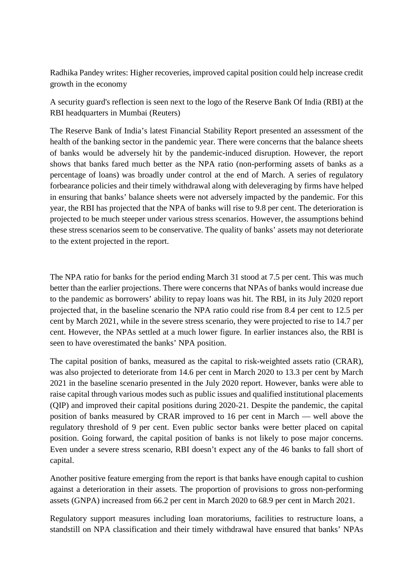Radhika Pandey writes: Higher recoveries, improved capital position could help increase credit growth in the economy

A security guard's reflection is seen next to the logo of the Reserve Bank Of India (RBI) at the RBI headquarters in Mumbai (Reuters)

The Reserve Bank of India's latest Financial Stability Report presented an assessment of the health of the banking sector in the pandemic year. There were concerns that the balance sheets of banks would be adversely hit by the pandemic-induced disruption. However, the report shows that banks fared much better as the NPA ratio (non-performing assets of banks as a percentage of loans) was broadly under control at the end of March. A series of regulatory forbearance policies and their timely withdrawal along with deleveraging by firms have helped in ensuring that banks' balance sheets were not adversely impacted by the pandemic. For this year, the RBI has projected that the NPA of banks will rise to 9.8 per cent. The deterioration is projected to be much steeper under various stress scenarios. However, the assumptions behind these stress scenarios seem to be conservative. The quality of banks' assets may not deteriorate to the extent projected in the report.

The NPA ratio for banks for the period ending March 31 stood at 7.5 per cent. This was much better than the earlier projections. There were concerns that NPAs of banks would increase due to the pandemic as borrowers' ability to repay loans was hit. The RBI, in its July 2020 report projected that, in the baseline scenario the NPA ratio could rise from 8.4 per cent to 12.5 per cent by March 2021, while in the severe stress scenario, they were projected to rise to 14.7 per cent. However, the NPAs settled at a much lower figure. In earlier instances also, the RBI is seen to have overestimated the banks' NPA position.

The capital position of banks, measured as the capital to risk-weighted assets ratio (CRAR), was also projected to deteriorate from 14.6 per cent in March 2020 to 13.3 per cent by March 2021 in the baseline scenario presented in the July 2020 report. However, banks were able to raise capital through various modes such as public issues and qualified institutional placements (QIP) and improved their capital positions during 2020-21. Despite the pandemic, the capital position of banks measured by CRAR improved to 16 per cent in March — well above the regulatory threshold of 9 per cent. Even public sector banks were better placed on capital position. Going forward, the capital position of banks is not likely to pose major concerns. Even under a severe stress scenario, RBI doesn't expect any of the 46 banks to fall short of capital.

Another positive feature emerging from the report is that banks have enough capital to cushion against a deterioration in their assets. The proportion of provisions to gross non-performing assets (GNPA) increased from 66.2 per cent in March 2020 to 68.9 per cent in March 2021.

Regulatory support measures including loan moratoriums, facilities to restructure loans, a standstill on NPA classification and their timely withdrawal have ensured that banks' NPAs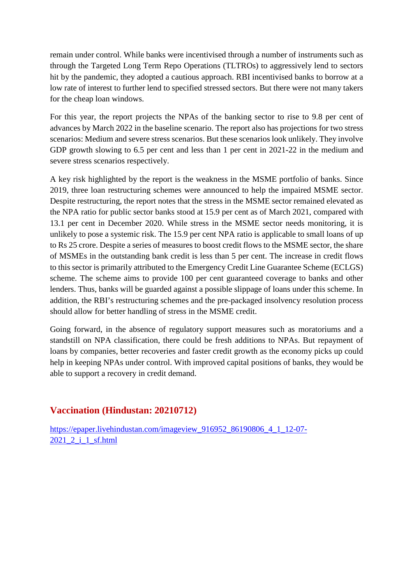remain under control. While banks were incentivised through a number of instruments such as through the Targeted Long Term Repo Operations (TLTROs) to aggressively lend to sectors hit by the pandemic, they adopted a cautious approach. RBI incentivised banks to borrow at a low rate of interest to further lend to specified stressed sectors. But there were not many takers for the cheap loan windows.

For this year, the report projects the NPAs of the banking sector to rise to 9.8 per cent of advances by March 2022 in the baseline scenario. The report also has projections for two stress scenarios: Medium and severe stress scenarios. But these scenarios look unlikely. They involve GDP growth slowing to 6.5 per cent and less than 1 per cent in 2021-22 in the medium and severe stress scenarios respectively.

A key risk highlighted by the report is the weakness in the MSME portfolio of banks. Since 2019, three loan restructuring schemes were announced to help the impaired MSME sector. Despite restructuring, the report notes that the stress in the MSME sector remained elevated as the NPA ratio for public sector banks stood at 15.9 per cent as of March 2021, compared with 13.1 per cent in December 2020. While stress in the MSME sector needs monitoring, it is unlikely to pose a systemic risk. The 15.9 per cent NPA ratio is applicable to small loans of up to Rs 25 crore. Despite a series of measures to boost credit flows to the MSME sector, the share of MSMEs in the outstanding bank credit is less than 5 per cent. The increase in credit flows to this sector is primarily attributed to the Emergency Credit Line Guarantee Scheme (ECLGS) scheme. The scheme aims to provide 100 per cent guaranteed coverage to banks and other lenders. Thus, banks will be guarded against a possible slippage of loans under this scheme. In addition, the RBI's restructuring schemes and the pre-packaged insolvency resolution process should allow for better handling of stress in the MSME credit.

Going forward, in the absence of regulatory support measures such as moratoriums and a standstill on NPA classification, there could be fresh additions to NPAs. But repayment of loans by companies, better recoveries and faster credit growth as the economy picks up could help in keeping NPAs under control. With improved capital positions of banks, they would be able to support a recovery in credit demand.

## **Vaccination (Hindustan: 20210712)**

https://epaper.livehindustan.com/imageview\_916952\_86190806\_4\_1\_12-07- 2021 2 i 1 sf.html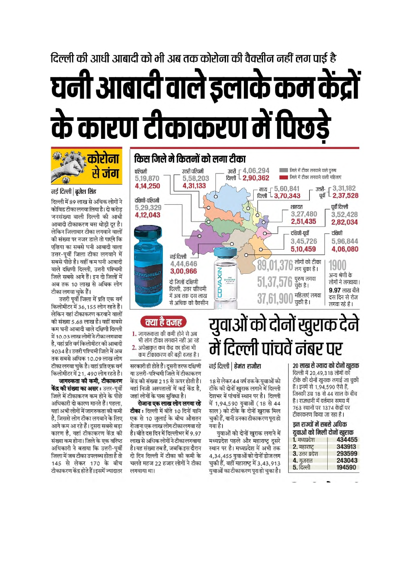# दिल्ली की आधी आबादी को भी अब तक कोरोना की वैक्सीन नहीं लग पाई है यनी आबादी वाले इलाके कम केंद्रों रे कारण टीकाकरण में पिछडे



# युवाओं को दोनों खुराक देने में दिल्ली पांचवें नंबर पर

## नई दिल्ली | हेमंत राजौरा

क्या है वजह

1. जागरूकता की कमी होने से अब

2. अपेक्षाकत कम केंद्र का होना भी

सरकारी ही होते हैं। दूसरी तरफ दक्षिणी

या उत्तरी-पश्चिमी जिले में टीकाकरण

केंद्र की संख्या 215 से ऊपर होती है।

वहां निजी अस्पतालों में कई केंद्र है.

टीका: दिल्ली में बीते 10 दिनों यानि

एक से 10 जुलाई के बीच औसतन

रोजाना एक लाख लोग टीका लगवा रहे

है। बीते दस दिन में दिल्लीभर में 9.97

लाख से अधिक लोगों ने टीका लगवाया

है। यह संख्या तब है, जबकि इस दौरान

दो दिन दिल्ली में टीका की कमी के

चलते महज 22 हजार लोगों ने टीका

लगवाया था।

रोजाना एक लाख लोग लगवा रहे

जहां लोगों के पास सुविधा है।

भी लोग टीका लगवाने नहीं आ रहे

कम टीकाकरण की बड़ी वजह है।

18 से लेकर 44 वर्ष तक के युवाओं को टीके की दोनों खराक लगाने में दिल्ली देशभर में पांचवें स्थान पर है। दिल्ली में 1,94,590 युवाओं (18 से 44 साल) को टीके के दोनों खुराक मिल चुकी हैं, यानी उनका टीकाकरण पूरा हो गया है।

यवाओं को दोनों खराक लगाने में मध्यप्रदेश पहले और महाराष्ट्र दूसरे स्थान पर है। मध्यप्रदेश में अभी तक 4,34,455 युवाओं को दोनों डोज लग चुकी हैं, वहीं महाराष्ट्र में 3,43,913 युवाओं का टीकाकरण पुरा हो चुका है। २० लाख से ज्यादा को दोनों खराक दिल्ली में 20.49.318 लोगों को

टीके की दोनों खुराक लगाई जा चुकी हैं। इनमें से 1,94,590 ऐसे हैं, जिनकी उम्र 18 से 44 साल के बीच है। राजधानी में वर्तमान समय में 763 स्थानों पर 1374 केंद्रों पर टीकाकरण किया जा रहा है।

#### डन राज्यों में सबसे अधिक युवाओं को मिली दोनों खुराक **ARABIA**  $m \nmid m$  $\mathbf{r}$

| .               | --------- |
|-----------------|-----------|
| 2. महाराष्ट     | 343913    |
| 3. उत्तर प्रदेश | 293599    |
| <b>4. गजरात</b> | 243043    |
| $5.$ दिल्ली     | 194590    |
|                 |           |

## कोरोना <mark>जग</mark> नई दिल्ली | बजेश सिंह

दिल्ली में 89 लाख से अधिक लोगों ने कोविड टीका लगवा लिया है। दो करोड जनसंख्या वाली दिल्ली की आधी आबादी टीकाकरण बस थोडी दर है। लेकिन जिलावार टीका लगवाने वालों की संख्या पर नजर डाले तो पाएंगे कि एशिया का सबसे घनी आबादी वाला उत्तर-पर्वी जिला टीका लगवाने में सबसे पोछे है। वहीं कम घनी आबादी वाले दक्षिणी दिल्ली, उत्तरी पश्चिमी जिले सबसे आगे हैं। इन दो जिलों में अब तक 10 लाख से अधिक लोग टीका लगवा चुके हैं।

उत्तरी पूर्वी जिला में प्रति एक वर्ग किलोमीटर में 36,155 लोग रहते हैं। लेकिन यहां टीकाकरण करवाने वालों की संख्या 5.68 लाख है। वहीं सबसे कम घनी आबादी वाले दक्षिणी दिल्ली में 10.03 लाख लोगों ने टीका लगवाया है. यहां प्रति वर्ग किलोमीटर की आबादी 9034 है। उत्तरी पश्चिमी जिले में अब तक सबसे अधिक 10.09 लाख लोग टीका लगवा चुके है। वहां प्रति एक वर्ग किलोमीटर में 21, 490 लोग रहते है।

जागरुकता की कमी. टीकाकरण **केंद्र की संख्या का असर:** उत्तर-पूर्वी जिले में टीकाकरण कम होने के पीछे अधिकारी दो कारण मानते हैं। पहला. यहां अभी लोगों में जागरुकता की कमी है. जिससे लोग टीका लगवाने के लिए आगे कम आ रहे हैं। दूसरा सबसे बड़ा कारण है. यहां टीकाकरण केंद्र की संख्या कम होना। जिले के एक वरिष्ठ अधिकारी ने बताया कि उत्तरी-पूर्वी जिला में जब टीका उपलब्ध होता है तो 145 से लेकर 170 के बीच टीकाकरण केंद्र होते हैं। इसमें ज्यादातर